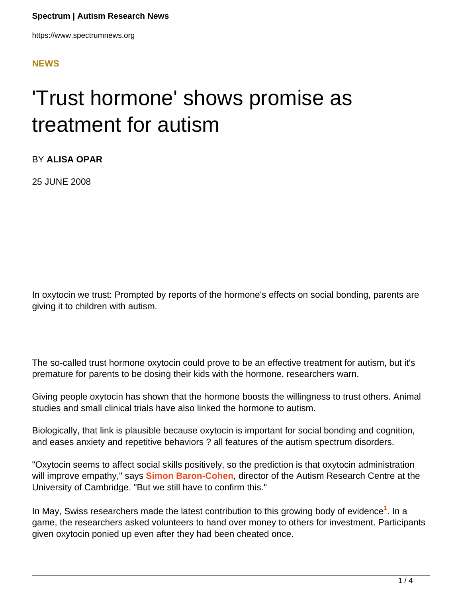https://www.spectrumnews.org

## **[NEWS](HTTPS://WWW.SPECTRUMNEWS.ORG/NEWS/)**

# 'Trust hormone' shows promise as treatment for autism

BY **ALISA OPAR**

25 JUNE 2008

In oxytocin we trust: Prompted by reports of the hormone's effects on social bonding, parents are giving it to children with autism.

The so-called trust hormone oxytocin could prove to be an effective treatment for autism, but it's premature for parents to be dosing their kids with the hormone, researchers warn.

Giving people oxytocin has shown that the hormone boosts the willingness to trust others. Animal studies and small clinical trials have also linked the hormone to autism.

Biologically, that link is plausible because oxytocin is important for social bonding and cognition, and eases anxiety and repetitive behaviors ? all features of the autism spectrum disorders.

"Oxytocin seems to affect social skills positively, so the prediction is that oxytocin administration will improve empathy," says **[Simon Baron-Cohen](http://www.autismresearchcentre.com/arc/staff_member.asp?id=33)**, director of the Autism Research Centre at the University of Cambridge. "But we still have to confirm this."

In May, Swiss researchers made the latest contribution to this growing body of evidence**<sup>1</sup>** . In a game, the researchers asked volunteers to hand over money to others for investment. Participants given oxytocin ponied up even after they had been cheated once.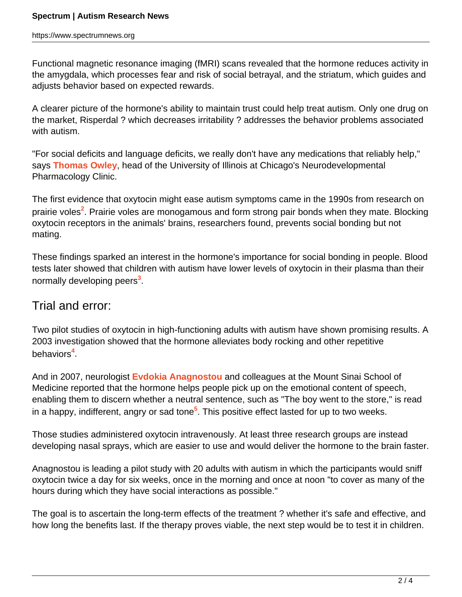Functional magnetic resonance imaging (fMRI) scans revealed that the hormone reduces activity in the amygdala, which processes fear and risk of social betrayal, and the striatum, which guides and adjusts behavior based on expected rewards.

A clearer picture of the hormone's ability to maintain trust could help treat autism. Only one drug on the market, Risperdal ? which decreases irritability ? addresses the behavior problems associated with autism.

"For social deficits and language deficits, we really don't have any medications that reliably help," says **[Thomas Owley](http://www.psych.uic.edu/faculty/owley.htm)**, head of the University of Illinois at Chicago's Neurodevelopmental Pharmacology Clinic.

The first evidence that oxytocin might ease autism symptoms came in the 1990s from research on prairie voles<sup>2</sup>. Prairie voles are monogamous and form strong pair bonds when they mate. Blocking oxytocin receptors in the animals' brains, researchers found, prevents social bonding but not mating.

These findings sparked an interest in the hormone's importance for social bonding in people. Blood tests later showed that children with autism have lower levels of oxytocin in their plasma than their normally developing peers**<sup>3</sup>** .

# Trial and error:

Two pilot studies of oxytocin in high-functioning adults with autism have shown promising results. A 2003 investigation showed that the hormone alleviates body rocking and other repetitive behaviors**<sup>4</sup>** .

And in 2007, neurologist **[Evdokia Anagnostou](http://www.hollandbloorview.ca/research/scientistprofiles/anagnostou.php)** and colleagues at the Mount Sinai School of Medicine reported that the hormone helps people pick up on the emotional content of speech, enabling them to discern whether a neutral sentence, such as "The boy went to the store," is read in a happy, indifferent, angry or sad tone**<sup>5</sup>** . This positive effect lasted for up to two weeks.

Those studies administered oxytocin intravenously. At least three research groups are instead developing nasal sprays, which are easier to use and would deliver the hormone to the brain faster.

Anagnostou is leading a pilot study with 20 adults with autism in which the participants would sniff oxytocin twice a day for six weeks, once in the morning and once at noon "to cover as many of the hours during which they have social interactions as possible."

The goal is to ascertain the long-term effects of the treatment ? whether it's safe and effective, and how long the benefits last. If the therapy proves viable, the next step would be to test it in children.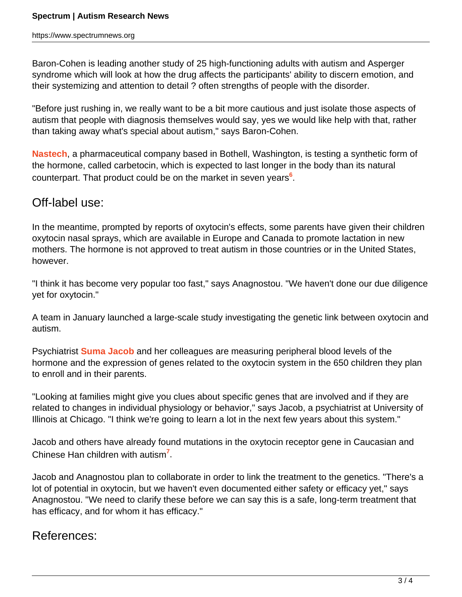Baron-Cohen is leading another study of 25 high-functioning adults with autism and Asperger syndrome which will look at how the drug affects the participants' ability to discern emotion, and their systemizing and attention to detail ? often strengths of people with the disorder.

"Before just rushing in, we really want to be a bit more cautious and just isolate those aspects of autism that people with diagnosis themselves would say, yes we would like help with that, rather than taking away what's special about autism," says Baron-Cohen.

**[Nastech](http://www.nastech.com/)**, a pharmaceutical company based in Bothell, Washington, is testing a synthetic form of the hormone, called carbetocin, which is expected to last longer in the body than its natural counterpart. That product could be on the market in seven years**<sup>6</sup>** .

# Off-label use:

In the meantime, prompted by reports of oxytocin's effects, some parents have given their children oxytocin nasal sprays, which are available in Europe and Canada to promote lactation in new mothers. The hormone is not approved to treat autism in those countries or in the United States, however.

"I think it has become very popular too fast," says Anagnostou. "We haven't done our due diligence yet for oxytocin."

A team in January launched a large-scale study investigating the genetic link between oxytocin and autism.

Psychiatrist **[Suma Jacob](http://www.psych.uic.edu/ijr/facultymember.asp?p=sjacob)** and her colleagues are measuring peripheral blood levels of the hormone and the expression of genes related to the oxytocin system in the 650 children they plan to enroll and in their parents.

"Looking at families might give you clues about specific genes that are involved and if they are related to changes in individual physiology or behavior," says Jacob, a psychiatrist at University of Illinois at Chicago. "I think we're going to learn a lot in the next few years about this system."

Jacob and others have already found mutations in the oxytocin receptor gene in Caucasian and Chinese Han children with autism**<sup>7</sup>** .

Jacob and Anagnostou plan to collaborate in order to link the treatment to the genetics. "There's a lot of potential in oxytocin, but we haven't even documented either safety or efficacy yet," says Anagnostou. "We need to clarify these before we can say this is a safe, long-term treatment that has efficacy, and for whom it has efficacy."

# References: